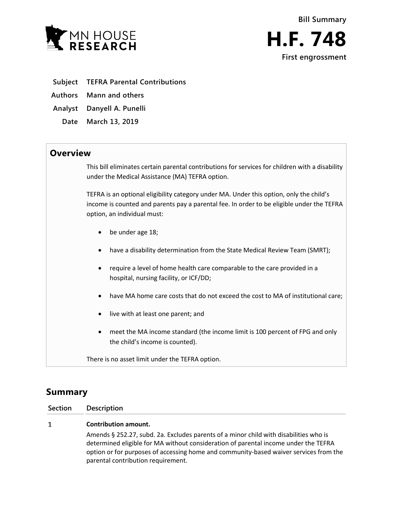

- **Subject TEFRA Parental Contributions**
- **Authors Mann and others**
- **Analyst Danyell A. Punelli**
- **Date March 13, 2019**

## **Overview**

This bill eliminates certain parental contributions for services for children with a disability under the Medical Assistance (MA) TEFRA option.

TEFRA is an optional eligibility category under MA. Under this option, only the child's income is counted and parents pay a parental fee. In order to be eligible under the TEFRA option, an individual must:

- be under age 18;
- have a disability determination from the State Medical Review Team (SMRT);
- require a level of home health care comparable to the care provided in a hospital, nursing facility, or ICF/DD;
- have MA home care costs that do not exceed the cost to MA of institutional care;
- live with at least one parent; and
- meet the MA income standard (the income limit is 100 percent of FPG and only the child's income is counted).

There is no asset limit under the TEFRA option.

# **Summary**

### **Section Description**

#### $\mathbf{1}$ **Contribution amount.**

Amends § 252.27, subd. 2a. Excludes parents of a minor child with disabilities who is determined eligible for MA without consideration of parental income under the TEFRA option or for purposes of accessing home and community-based waiver services from the parental contribution requirement.